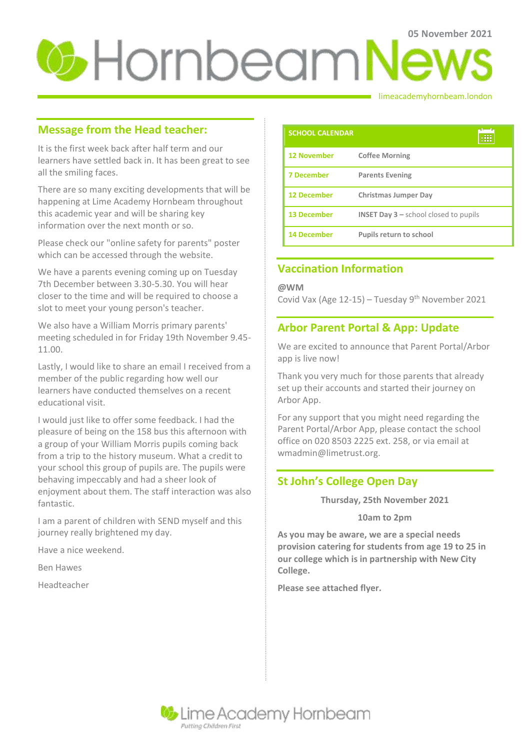# **05 November 2021**

### limeacademyhornbeam.london

## **Message from the Head teacher:**

It is the first week back after half term and our learners have settled back in. It has been great to see all the smiling faces.

There are so many exciting developments that will be happening at Lime Academy Hornbeam throughout this academic year and will be sharing key information over the next month or so.

Please check our "online safety for parents" poster which can be accessed through the website.

We have a parents evening coming up on Tuesday 7th December between 3.30-5.30. You will hear closer to the time and will be required to choose a slot to meet your young person's teacher.

We also have a William Morris primary parents' meeting scheduled in for Friday 19th November 9.45- 11.00.

Lastly, I would like to share an email I received from a member of the public regarding how well our learners have conducted themselves on a recent educational visit.

I would just like to offer some feedback. I had the pleasure of being on the 158 bus this afternoon with a group of your William Morris pupils coming back from a trip to the history museum. What a credit to your school this group of pupils are. The pupils were behaving impeccably and had a sheer look of enjoyment about them. The staff interaction was also fantastic.

I am a parent of children with SEND myself and this journey really brightened my day.

Have a nice weekend.

Ben Hawes

Headteacher

| <b>SCHOOL CALENDAR</b> |                                                           |
|------------------------|-----------------------------------------------------------|
| <b>12 November</b>     | <b>Coffee Morning</b>                                     |
| <b>7 December</b>      | <b>Parents Evening</b>                                    |
| <b>12 December</b>     | <b>Christmas Jumper Day</b>                               |
| <b>13 December</b>     | <b>INSET Day <math>3</math> – school closed to pupils</b> |
| <b>14 December</b>     | <b>Pupils return to school</b>                            |

# **Vaccination Information**

**@WM**

Covid Vax (Age  $12-15$ ) – Tuesday 9<sup>th</sup> November 2021

## **Arbor Parent Portal & App: Update**

We are excited to announce that Parent Portal/Arbor app is live now!

Thank you very much for those parents that already set up their accounts and started their journey on Arbor App.

For any support that you might need regarding the Parent Portal/Arbor App, please contact the school office on 020 8503 2225 ext. 258, or via email at wmadmin@limetrust.org.

### **St John's College Open Day**

**Thursday, 25th November 2021**

### **10am to 2pm**

**As you may be aware, we are a special needs provision catering for students from age 19 to 25 in our college which is in partnership with New City College.**

**Please see attached flyer.**